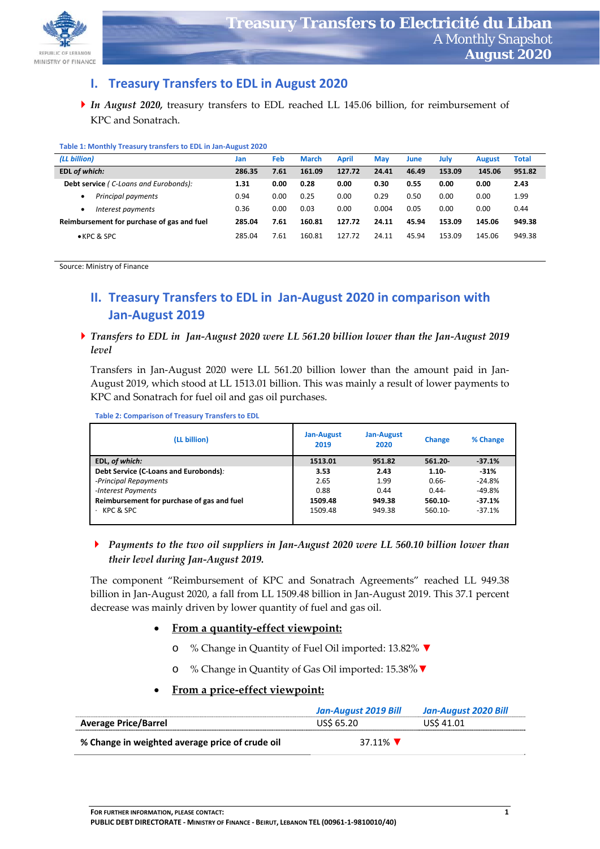

## **I. Treasury Transfers to EDL in August 2020**

*In August 2020,* treasury transfers to EDL reached LL 145.06 billion, for reimbursement of KPC and Sonatrach.

| <b>TUBIC 1. MORTHLY TRUSH Y GUISICIS TO LIFL III JULI AUGUST LOLD</b> |        |      |              |              |            |       |        |               |              |
|-----------------------------------------------------------------------|--------|------|--------------|--------------|------------|-------|--------|---------------|--------------|
| (LL billion)                                                          | Jan    | Feb  | <b>March</b> | <b>April</b> | <b>May</b> | June  | July   | <b>August</b> | <b>Total</b> |
| <b>EDL of which:</b>                                                  | 286.35 | 7.61 | 161.09       | 127.72       | 24.41      | 46.49 | 153.09 | 145.06        | 951.82       |
| <b>Debt service (C-Loans and Eurobonds):</b>                          | 1.31   | 0.00 | 0.28         | 0.00         | 0.30       | 0.55  | 0.00   | 0.00          | 2.43         |
| Principal payments<br>$\bullet$                                       | 0.94   | 0.00 | 0.25         | 0.00         | 0.29       | 0.50  | 0.00   | 0.00          | 1.99         |
| Interest payments<br>٠                                                | 0.36   | 0.00 | 0.03         | 0.00         | 0.004      | 0.05  | 0.00   | 0.00          | 0.44         |
| Reimbursement for purchase of gas and fuel                            | 285.04 | 7.61 | 160.81       | 127.72       | 24.11      | 45.94 | 153.09 | 145.06        | 949.38       |
| $\bullet$ KPC & SPC                                                   | 285.04 | 7.61 | 160.81       | 127.72       | 24.11      | 45.94 | 153.09 | 145.06        | 949.38       |

#### **Table 1: Monthly Treasury transfers to EDL in Jan‐August 2020**

Source: Ministry of Finance 

# **II. Treasury Transfers to EDL in Jan‐August 2020 in comparison with Jan‐August 2019**

▶ Transfers to EDL in Jan-August 2020 were LL 561.20 billion lower than the Jan-August 2019 *level*

Transfers in Jan‐August 2020 were LL 561.20 billion lower than the amount paid in Jan‐ August 2019, which stood at LL 1513.01 billion. This was mainly a result of lower payments to KPC and Sonatrach for fuel oil and gas oil purchases.

**Table 2: Comparison of Treasury Transfers to EDL** 

| (LL billion)                               | <b>Jan-August</b><br>2019 | Jan-August<br>2020 | <b>Change</b> | % Change |
|--------------------------------------------|---------------------------|--------------------|---------------|----------|
| EDL, of which:                             | 1513.01                   | 951.82             | $561.20 -$    | $-37.1%$ |
| Debt Service (C-Loans and Eurobonds):      | 3.53                      | 2.43               | $1.10 -$      | $-31%$   |
| -Principal Repayments                      | 2.65                      | 1.99               | $0.66 -$      | $-24.8%$ |
| -Interest Payments                         | 0.88                      | 0.44               | $0.44 -$      | $-49.8%$ |
| Reimbursement for purchase of gas and fuel | 1509.48                   | 949.38             | $560.10 -$    | $-37.1%$ |
| KPC & SPC                                  | 1509.48                   | 949.38             | 560.10-       | $-37.1%$ |

### *Payments to the two oil suppliers in Jan‐August 2020 were LL 560.10 billion lower than their level during Jan‐August 2019.*

The component "Reimbursement of KPC and Sonatrach Agreements" reached LL 949.38 billion in Jan‐August 2020, a fall from LL 1509.48 billion in Jan‐August 2019. This 37.1 percent decrease was mainly driven by lower quantity of fuel and gas oil.

### **From a quantity‐effect viewpoint:**

- o % Change in Quantity of Fuel Oil imported: 13.82% **▼**
- o % Change in Quantity of Gas Oil imported: 15.38%**▼**

### **From a price‐effect viewpoint:**

|                                                 | Jan-August 2019 Bill | Jan-August 2020 Bill |
|-------------------------------------------------|----------------------|----------------------|
| <b>Average Price/Barrel</b>                     | US\$ 65.20           | US\$ 41.01           |
| % Change in weighted average price of crude oil | 37.11%               |                      |